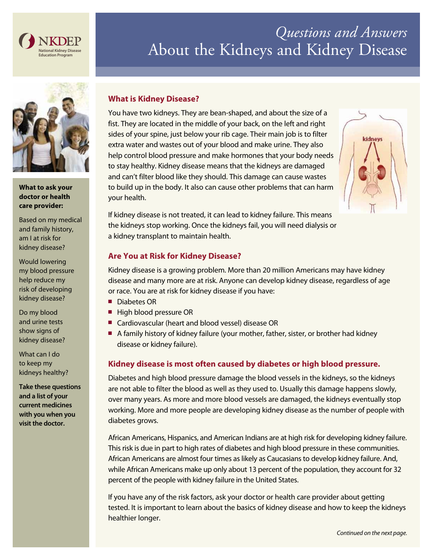

# *Questions and Answers* About the Kidneys and Kidney Disease



#### **What to ask your doctor or health care provider:**

Based on my medical and family history, am I at risk for kidney disease?

Would lowering my blood pressure help reduce my risk of developing kidney disease?

Do my blood and urine tests show signs of kidney disease?

What can I do to keep my kidneys healthy?

**Take these questions and a list of your current medicines with you when you visit the doctor.**

# **What is Kidney Disease?**

You have two kidneys. They are bean-shaped, and about the size of a fist. They are located in the middle of your back, on the left and right sides of your spine, just below your rib cage. Their main job is to filter extra water and wastes out of your blood and make urine. They also help control blood pressure and make hormones that your body needs to stay healthy. Kidney disease means that the kidneys are damaged and can't filter blood like they should. This damage can cause wastes to build up in the body. It also can cause other problems that can harm your health.



If kidney disease is not treated, it can lead to kidney failure. This means the kidneys stop working. Once the kidneys fail, you will need dialysis or a kidney transplant to maintain health.

# **Are You at Risk for Kidney Disease?**

Kidney disease is a growing problem. More than 20 million Americans may have kidney disease and many more are at risk. Anyone can develop kidney disease, regardless of age or race. You are at risk for kidney disease if you have:

- Diabetes OR
- High blood pressure OR
- Cardiovascular (heart and blood vessel) disease OR
- **A** family history of kidney failure (your mother, father, sister, or brother had kidney disease or kidney failure).

# **Kidney disease is most often caused by diabetes or high blood pressure.**

Diabetes and high blood pressure damage the blood vessels in the kidneys, so the kidneys are not able to filter the blood as well as they used to. Usually this damage happens slowly, over many years. As more and more blood vessels are damaged, the kidneys eventually stop working. More and more people are developing kidney disease as the number of people with diabetes grows.

African Americans, Hispanics, and American Indians are at high risk for developing kidney failure. This risk is due in part to high rates of diabetes and high blood pressure in these communities. African Americans are almost four times as likely as Caucasians to develop kidney failure. And, while African Americans make up only about 13 percent of the population, they account for 32 percent of the people with kidney failure in the United States.

If you have any of the risk factors, ask your doctor or health care provider about getting tested. It is important to learn about the basics of kidney disease and how to keep the kidneys healthier longer.